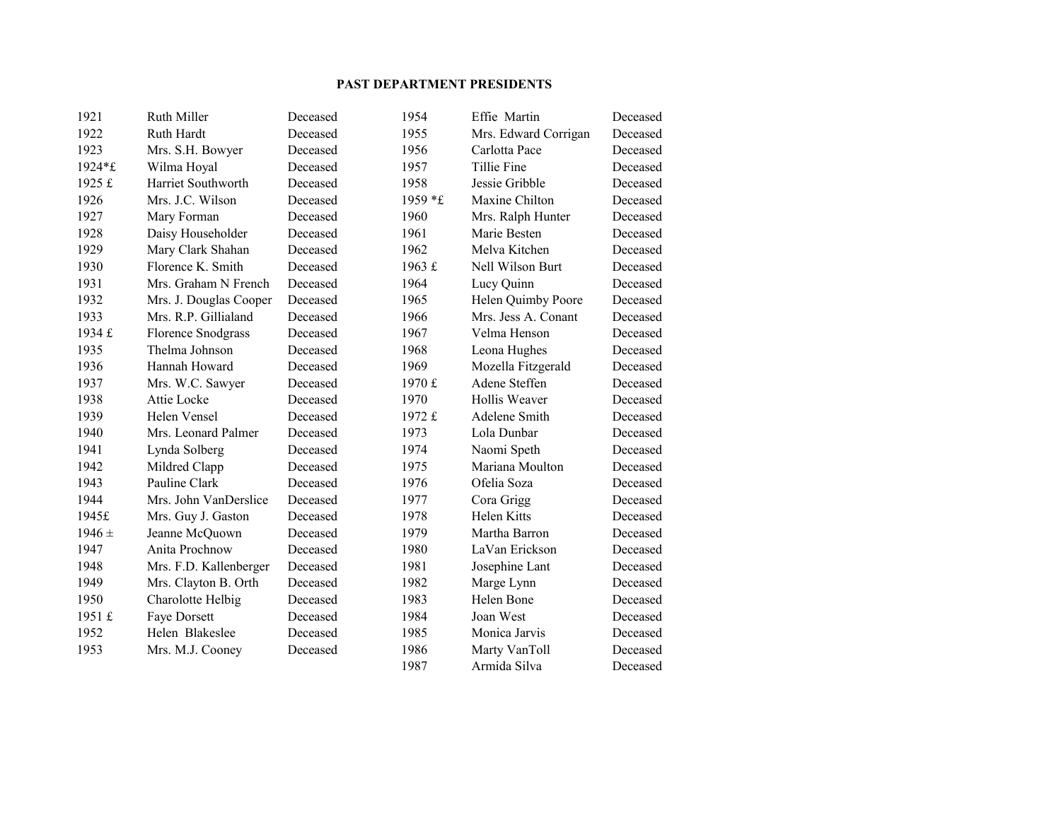## **PAST DEPARTMENT PRESIDENTS**

| 1921       | Ruth Miller            | Deceased | 1954           | Effie Martin         | Deceased |
|------------|------------------------|----------|----------------|----------------------|----------|
| 1922       | Ruth Hardt             | Deceased | 1955           | Mrs. Edward Corrigan | Deceased |
| 1923       | Mrs. S.H. Bowyer       | Deceased | 1956           | Carlotta Pace        | Deceased |
| 1924*£     | Wilma Hoyal            | Deceased | 1957           | Tillie Fine          | Deceased |
| 1925 £     | Harriet Southworth     | Deceased | 1958           | Jessie Gribble       | Deceased |
| 1926       | Mrs. J.C. Wilson       | Deceased | 1959 *£        | Maxine Chilton       | Deceased |
| 1927       | Mary Forman            | Deceased | 1960           | Mrs. Ralph Hunter    | Deceased |
| 1928       | Daisy Householder      | Deceased | 1961           | Marie Besten         | Deceased |
| 1929       | Mary Clark Shahan      | Deceased | 1962           | Melva Kitchen        | Deceased |
| 1930       | Florence K. Smith      | Deceased | 1963 $\pounds$ | Nell Wilson Burt     | Deceased |
| 1931       | Mrs. Graham N French   | Deceased | 1964           | Lucy Quinn           | Deceased |
| 1932       | Mrs. J. Douglas Cooper | Deceased | 1965           | Helen Quimby Poore   | Deceased |
| 1933       | Mrs. R.P. Gillialand   | Deceased | 1966           | Mrs. Jess A. Conant  | Deceased |
| 1934 £     | Florence Snodgrass     | Deceased | 1967           | Velma Henson         | Deceased |
| 1935       | Thelma Johnson         | Deceased | 1968           | Leona Hughes         | Deceased |
| 1936       | Hannah Howard          | Deceased | 1969           | Mozella Fitzgerald   | Deceased |
| 1937       | Mrs. W.C. Sawyer       | Deceased | 1970 £         | Adene Steffen        | Deceased |
| 1938       | Attie Locke            | Deceased | 1970           | Hollis Weaver        | Deceased |
| 1939       | Helen Vensel           | Deceased | 1972 £         | Adelene Smith        | Deceased |
| 1940       | Mrs. Leonard Palmer    | Deceased | 1973           | Lola Dunbar          | Deceased |
| 1941       | Lynda Solberg          | Deceased | 1974           | Naomi Speth          | Deceased |
| 1942       | Mildred Clapp          | Deceased | 1975           | Mariana Moulton      | Deceased |
| 1943       | Pauline Clark          | Deceased | 1976           | Ofelia Soza          | Deceased |
| 1944       | Mrs. John VanDerslice  | Deceased | 1977           | Cora Grigg           | Deceased |
| 1945£      | Mrs. Guy J. Gaston     | Deceased | 1978           | Helen Kitts          | Deceased |
| $1946 \pm$ | Jeanne McQuown         | Deceased | 1979           | Martha Barron        | Deceased |
| 1947       | Anita Prochnow         | Deceased | 1980           | LaVan Erickson       | Deceased |
| 1948       | Mrs. F.D. Kallenberger | Deceased | 1981           | Josephine Lant       | Deceased |
| 1949       | Mrs. Clayton B. Orth   | Deceased | 1982           | Marge Lynn           | Deceased |
| 1950       | Charolotte Helbig      | Deceased | 1983           | Helen Bone           | Deceased |
| 1951 £     | Faye Dorsett           | Deceased | 1984           | Joan West            | Deceased |
| 1952       | Helen Blakeslee        | Deceased | 1985           | Monica Jarvis        | Deceased |
| 1953       | Mrs. M.J. Cooney       | Deceased | 1986           | Marty VanToll        | Deceased |
|            |                        |          | 1987           | Armida Silva         | Deceased |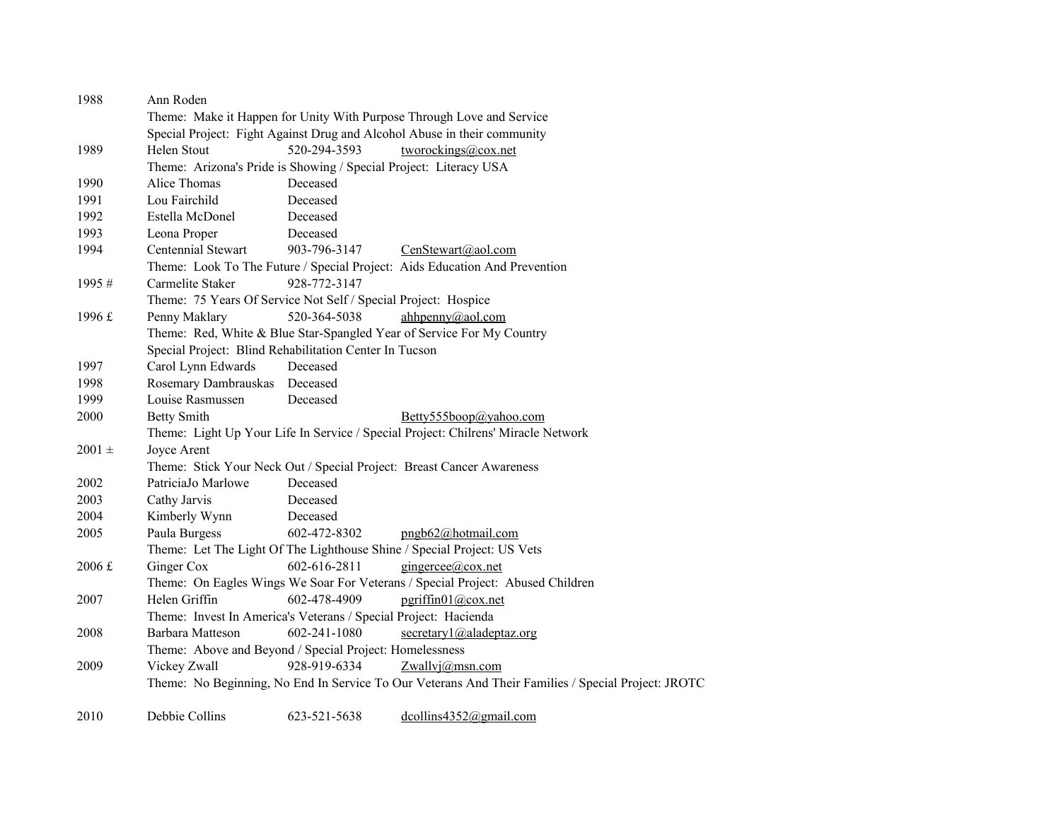| 1988                    | Ann Roden                                                                |              |                                                                                                    |  |  |  |
|-------------------------|--------------------------------------------------------------------------|--------------|----------------------------------------------------------------------------------------------------|--|--|--|
|                         |                                                                          |              | Theme: Make it Happen for Unity With Purpose Through Love and Service                              |  |  |  |
|                         | Special Project: Fight Against Drug and Alcohol Abuse in their community |              |                                                                                                    |  |  |  |
| 1989                    | Helen Stout                                                              | 520-294-3593 | tworockings@cox.net                                                                                |  |  |  |
|                         | Theme: Arizona's Pride is Showing / Special Project: Literacy USA        |              |                                                                                                    |  |  |  |
| 1990                    | Alice Thomas                                                             | Deceased     |                                                                                                    |  |  |  |
| 1991                    | Lou Fairchild                                                            | Deceased     |                                                                                                    |  |  |  |
| 1992                    | Estella McDonel                                                          | Deceased     |                                                                                                    |  |  |  |
| 1993                    | Leona Proper                                                             | Deceased     |                                                                                                    |  |  |  |
| 1994                    | Centennial Stewart                                                       | 903-796-3147 | CenStewart@aol.com                                                                                 |  |  |  |
|                         |                                                                          |              | Theme: Look To The Future / Special Project: Aids Education And Prevention                         |  |  |  |
| 1995#                   | Carmelite Staker                                                         | 928-772-3147 |                                                                                                    |  |  |  |
|                         | Theme: 75 Years Of Service Not Self / Special Project: Hospice           |              |                                                                                                    |  |  |  |
| 1996 £                  | Penny Maklary                                                            | 520-364-5038 | ahhpenny@aol.com                                                                                   |  |  |  |
|                         |                                                                          |              | Theme: Red, White & Blue Star-Spangled Year of Service For My Country                              |  |  |  |
|                         | Special Project: Blind Rehabilitation Center In Tucson                   |              |                                                                                                    |  |  |  |
| 1997                    | Carol Lynn Edwards                                                       | Deceased     |                                                                                                    |  |  |  |
| 1998                    | Rosemary Dambrauskas                                                     | Deceased     |                                                                                                    |  |  |  |
| 1999                    | Louise Rasmussen                                                         | Deceased     |                                                                                                    |  |  |  |
| 2000                    | <b>Betty Smith</b>                                                       |              | Betty555boop@yahoo.com                                                                             |  |  |  |
|                         |                                                                          |              | Theme: Light Up Your Life In Service / Special Project: Chilrens' Miracle Network                  |  |  |  |
| $2001 \pm$              | Joyce Arent                                                              |              |                                                                                                    |  |  |  |
|                         |                                                                          |              | Theme: Stick Your Neck Out / Special Project: Breast Cancer Awareness                              |  |  |  |
| 2002                    | PatriciaJo Marlowe                                                       | Deceased     |                                                                                                    |  |  |  |
| 2003                    | Cathy Jarvis                                                             | Deceased     |                                                                                                    |  |  |  |
| 2004                    | Kimberly Wynn                                                            | Deceased     |                                                                                                    |  |  |  |
| 2005                    | Paula Burgess                                                            | 602-472-8302 | pngb62@hotmail.com                                                                                 |  |  |  |
|                         |                                                                          |              | Theme: Let The Light Of The Lighthouse Shine / Special Project: US Vets                            |  |  |  |
| $2006 \text{ } \pounds$ | Ginger Cox                                                               | 602-616-2811 | gingercee@cox.net                                                                                  |  |  |  |
|                         |                                                                          |              | Theme: On Eagles Wings We Soar For Veterans / Special Project: Abused Children                     |  |  |  |
| 2007                    | Helen Griffin                                                            | 602-478-4909 | pgriffin01@cox.net                                                                                 |  |  |  |
|                         | Theme: Invest In America's Veterans / Special Project: Hacienda          |              |                                                                                                    |  |  |  |
| 2008                    | Barbara Matteson                                                         | 602-241-1080 | secretary1@aladeptaz.org                                                                           |  |  |  |
|                         | Theme: Above and Beyond / Special Project: Homelessness                  |              |                                                                                                    |  |  |  |
| 2009                    | Vickey Zwall                                                             | 928-919-6334 | Zwallvj@msn.com                                                                                    |  |  |  |
|                         |                                                                          |              | Theme: No Beginning, No End In Service To Our Veterans And Their Families / Special Project: JROTC |  |  |  |
|                         |                                                                          |              |                                                                                                    |  |  |  |
|                         |                                                                          |              |                                                                                                    |  |  |  |

2010 Debbie Collins 623-521-5638 dcollins4352@gmail.com